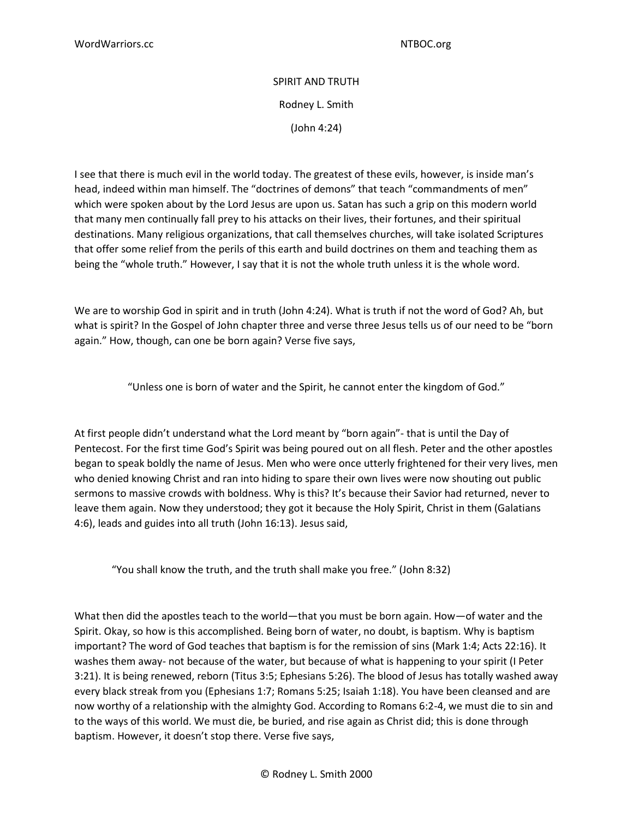## SPIRIT AND TRUTH Rodney L. Smith (John 4:24)

I see that there is much evil in the world today. The greatest of these evils, however, is inside man's head, indeed within man himself. The "doctrines of demons" that teach "commandments of men" which were spoken about by the Lord Jesus are upon us. Satan has such a grip on this modern world that many men continually fall prey to his attacks on their lives, their fortunes, and their spiritual destinations. Many religious organizations, that call themselves churches, will take isolated Scriptures that offer some relief from the perils of this earth and build doctrines on them and teaching them as being the "whole truth." However, I say that it is not the whole truth unless it is the whole word.

We are to worship God in spirit and in truth (John 4:24). What is truth if not the word of God? Ah, but what is spirit? In the Gospel of John chapter three and verse three Jesus tells us of our need to be "born again." How, though, can one be born again? Verse five says,

"Unless one is born of water and the Spirit, he cannot enter the kingdom of God."

At first people didn't understand what the Lord meant by "born again"- that is until the Day of Pentecost. For the first time God's Spirit was being poured out on all flesh. Peter and the other apostles began to speak boldly the name of Jesus. Men who were once utterly frightened for their very lives, men who denied knowing Christ and ran into hiding to spare their own lives were now shouting out public sermons to massive crowds with boldness. Why is this? It's because their Savior had returned, never to leave them again. Now they understood; they got it because the Holy Spirit, Christ in them (Galatians 4:6), leads and guides into all truth (John 16:13). Jesus said,

"You shall know the truth, and the truth shall make you free." (John 8:32)

What then did the apostles teach to the world—that you must be born again. How—of water and the Spirit. Okay, so how is this accomplished. Being born of water, no doubt, is baptism. Why is baptism important? The word of God teaches that baptism is for the remission of sins (Mark 1:4; Acts 22:16). It washes them away- not because of the water, but because of what is happening to your spirit (I Peter 3:21). It is being renewed, reborn (Titus 3:5; Ephesians 5:26). The blood of Jesus has totally washed away every black streak from you (Ephesians 1:7; Romans 5:25; Isaiah 1:18). You have been cleansed and are now worthy of a relationship with the almighty God. According to Romans 6:2-4, we must die to sin and to the ways of this world. We must die, be buried, and rise again as Christ did; this is done through baptism. However, it doesn't stop there. Verse five says,